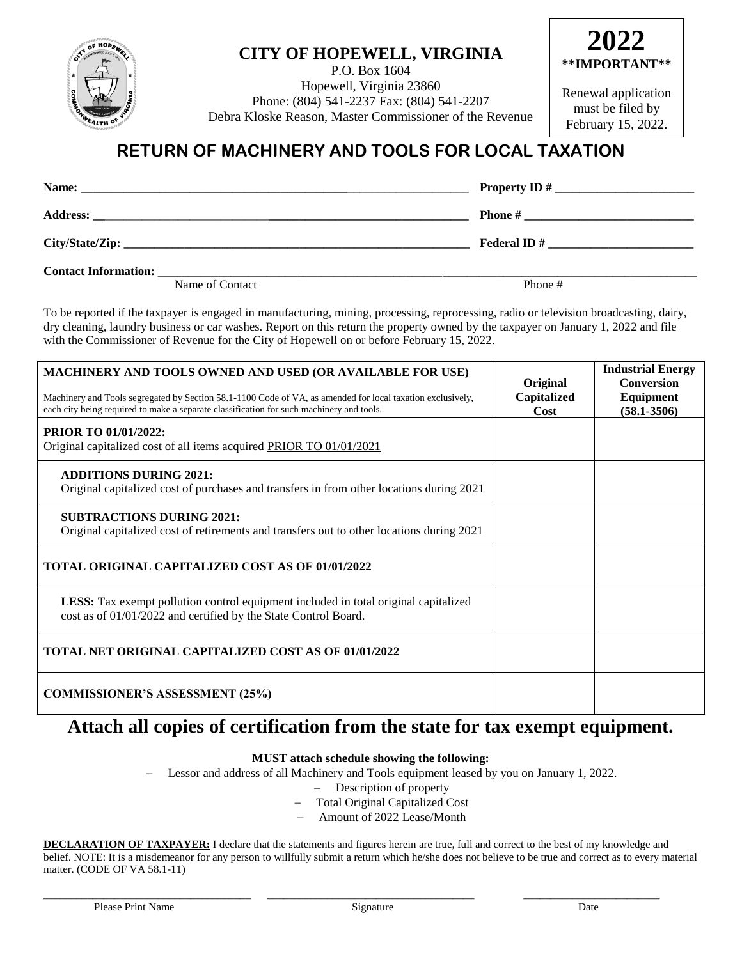

### **CITY OF HOPEWELL, VIRGINIA**

P.O. Box 1604 Hopewell, Virginia 23860 Phone: (804) 541-2237 Fax: (804) 541-2207 Debra Kloske Reason, Master Commissioner of the Revenue



Renewal application must be filed by February 15, 2022.

## **RETURN OF MACHINERY AND TOOLS FOR LOCAL TAXATION**

| Name:                       |                    |
|-----------------------------|--------------------|
| <b>Address:</b>             | <b>Phone</b> #     |
|                             | <b>Federal ID#</b> |
| <b>Contact Information:</b> |                    |

Name of Contact Phone #

To be reported if the taxpayer is engaged in manufacturing, mining, processing, reprocessing, radio or television broadcasting, dairy, dry cleaning, laundry business or car washes. Report on this return the property owned by the taxpayer on January 1, 2022 and file with the Commissioner of Revenue for the City of Hopewell on or before February 15, 2022.

| <b>MACHINERY AND TOOLS OWNED AND USED (OR AVAILABLE FOR USE)</b><br>Machinery and Tools segregated by Section 58.1-1100 Code of VA, as amended for local taxation exclusively,<br>each city being required to make a separate classification for such machinery and tools. | Original<br>Capitalized<br>Cost | <b>Industrial Energy</b><br><b>Conversion</b><br>Equipment<br>$(58.1 - 3506)$ |
|----------------------------------------------------------------------------------------------------------------------------------------------------------------------------------------------------------------------------------------------------------------------------|---------------------------------|-------------------------------------------------------------------------------|
| <b>PRIOR TO 01/01/2022:</b><br>Original capitalized cost of all items acquired PRIOR TO 01/01/2021                                                                                                                                                                         |                                 |                                                                               |
| <b>ADDITIONS DURING 2021:</b><br>Original capitalized cost of purchases and transfers in from other locations during 2021                                                                                                                                                  |                                 |                                                                               |
| <b>SUBTRACTIONS DURING 2021:</b><br>Original capitalized cost of retirements and transfers out to other locations during 2021                                                                                                                                              |                                 |                                                                               |
| <b>TOTAL ORIGINAL CAPITALIZED COST AS OF 01/01/2022</b>                                                                                                                                                                                                                    |                                 |                                                                               |
| <b>LESS:</b> Tax exempt pollution control equipment included in total original capitalized<br>cost as of 01/01/2022 and certified by the State Control Board.                                                                                                              |                                 |                                                                               |
| <b>TOTAL NET ORIGINAL CAPITALIZED COST AS OF 01/01/2022</b>                                                                                                                                                                                                                |                                 |                                                                               |
| <b>COMMISSIONER'S ASSESSMENT (25%)</b>                                                                                                                                                                                                                                     |                                 |                                                                               |

## **Attach all copies of certification from the state for tax exempt equipment.**

#### **MUST attach schedule showing the following:**

Lessor and address of all Machinery and Tools equipment leased by you on January 1, 2022.

- Description of property
- Total Original Capitalized Cost
- Amount of 2022 Lease/Month

**DECLARATION OF TAXPAYER:** I declare that the statements and figures herein are true, full and correct to the best of my knowledge and belief. NOTE: It is a misdemeanor for any person to willfully submit a return which he/she does not believe to be true and correct as to every material matter. (CODE OF VA 58.1-11)

\_\_\_\_\_\_\_\_\_\_\_\_\_\_\_\_\_\_\_\_\_\_\_\_\_\_\_\_\_\_\_\_\_\_\_\_\_\_ \_\_\_\_\_\_\_\_\_\_\_\_\_\_\_\_\_\_\_\_\_\_\_\_\_\_\_\_\_\_\_\_\_\_\_\_\_\_ \_\_\_\_\_\_\_\_\_\_\_\_\_\_\_\_\_\_\_\_\_\_\_\_\_